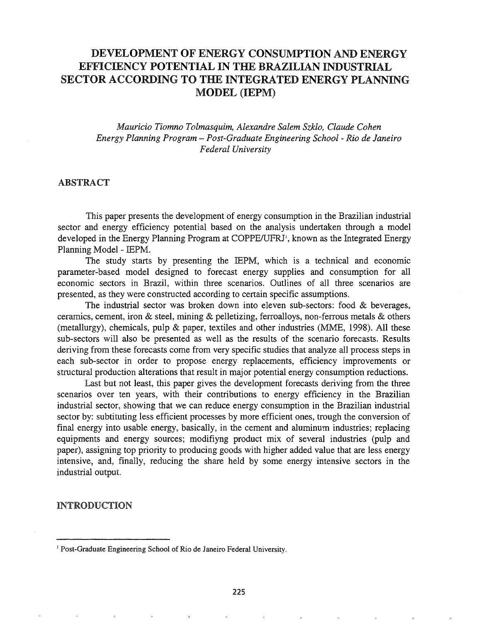# DEVELOPMENT OF ENERGY CONSUMPTION AND ENERGY EFFICIENCY POTENTIAL IN THE BRAZILIAN INDUSTRIAL SECTOR ACCORDING TO THE INTEGRATED ENERGY PLANNING MODEL (IEPM)

*Mauricio Tiomno Tolmasquim, Alexandre Salem Szklo, Claude Cohen Energy Planning Program* - *Post-Graduate Engineering School* - *Rio de Janeiro Federal University*

# ABSTRACT

This paper presents the development of energy consumption in the Brazilian industrial sector and energy efficiency potential based on the analysis undertaken through a model developed in the Energy Planning Program at COPPE/UFRJ<sup>1</sup>, known as the Integrated Energy Planning Model - IEPM.

The study starts by presenting the IEPM, which is a technical and economic parameter-based model designed to forecast energy supplies and consumption for all economic sectors in Brazil, within three scenarios. Outlines of all three scenarios are presented, as they were constructed according to certain specific assumptions.

The industrial sector was broken down into eleven sub-sectors: food  $\&$  beverages, ceramics, cement, iron & steel, mining & pelletizing, ferroalloys, non-ferrous metals & others (metallurgy), chemicals, pulp & paper, textiles and other industries (MME, 1998). All these sub-sectors will also be presented as well as the results of the scenario forecasts. Results deriving from these forecasts come from very specific studies that analyze all process steps in each sub-sector in order to propose energy replacements, efficiency improvements or structural production alterations that result in major potential energy consumption reductions.

Last but not least, this paper gives the development forecasts deriving from the three scenarios over ten years, with their contributions to energy efficiency in the Brazilian industrial sector, showing that we can reduce energy consumption in the Brazilian industrial sector by: subtituting less efficient processes by more efficient ones, trough the conversion of final energy into usable energy, basically, in the cement and aluminum industries; replacing equipments and energy sources; modifiyng product mix of several industries (pulp and paper), assigning top priority to producing goods with higher added value that are less energy intensive, and, finally, reducing the share held by some energy intensive sectors in the industrial output

### INTRODUCTION

<sup>&</sup>lt;sup>1</sup> Post-Graduate Engineering School of Rio de Janeiro Federal University.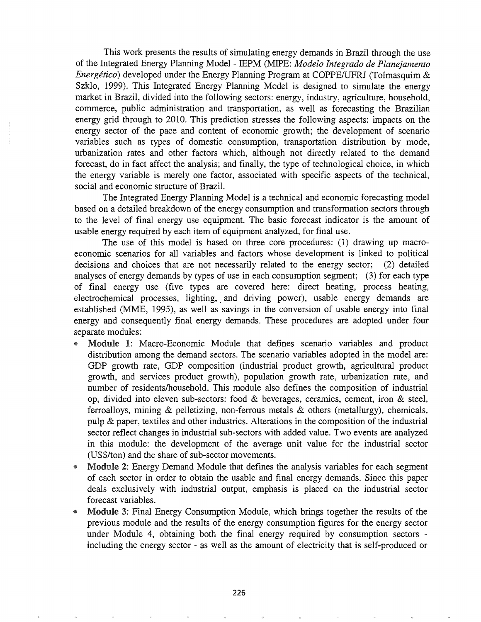This work presents the results of simulating energy demands in Brazil through the use of the Integrated Energy Planning Model - IEPM (MIPE: *Modelo Integrado de Planejamento Energético*) developed under the Energy Planning Program at COPPE/UFRJ (Tolmasquim & Szklo, 1999). This Integrated Energy Planning Model is designed to simulate the energy market in Brazil, divided into the following sectors: energy, industry, agriculture, household, commerce, public administration and transportation, as well as forecasting the Brazilian energy grid through to 2010. This prediction stresses the following aspects: impacts on the energy sector of the pace and content of economic growth; the development of scenario variables such as types of domestic consumption, transportation distribution by mode, urbanization rates and other factors which, although not directly related to the demand forecast, do in fact affect the analysis; and finally, the type of technological choice, in which the energy variable is merely one factor, associated with specific aspects of the technical, social and economic structure of Brazil.

The Integrated Energy Planning Model is a technical and economic forecasting model based on a detailed breakdown of the energy consumption and transformation sectors through to the level of final energy use equipment. The basic forecast indicator is the amount of usable energy required by each item of equipment analyzed, for final use.

The use of this model is based on three core procedures: (1) drawing up macroeconomic scenarios for all variables and factors whose development is linked to political decisions and choices that are not necessarily related to the energy sector; (2) detailed analyses of energy demands by types of use in each consumption segment; (3) for each type of final energy use (five types are covered here: direct heating, process heating, electrochemical processes, lighting, and driving power), usable energy demands are established (MME, 1995), as well as savings in the conversion of usable energy into final energy and consequently final energy demands. These procedures are adopted under four separate modules:

- Module 1: Macro-Economic Module that defines scenario variables and product distribution among the demand sectors. The scenario variables adopted in the model are: GDP growth rate, GDP composition (industrial product growth, agricultural product growth, and services product growth), population growth rate, urbanization rate, and number of residents/household. This module also defines the composition of industrial op, divided into eleven sub-sectors: food & beverages, ceramics, cement, iron & steel, ferroalloys, mining & pelletizing, non-ferrous metals & others (metallurgy), chemicals, pulp & paper, textiles and other industries. Alterations in the composition of the industrial sector reflect changes in industrial sub-sectors with added value. Two events are analyzed in this module: the development of the average unit value for the industrial sector (US\$lton) and the share of sub-sector movements.
- Module 2: Energy Demand Module that defines the analysis variables for each segment of each sector in order to obtain the usable and final energy demands. Since this paper deals exclusively with industrial output, emphasis is placed on the industrial sector forecast variables.
- Module 3: Final Energy Consumption Module, which brings together the results of the previous module and the results of the energy consumption figures for the energy sector under Module 4, obtaining both the final energy required by consumption sectors including the energy sector - as well as the amount of electricity that is self-produced or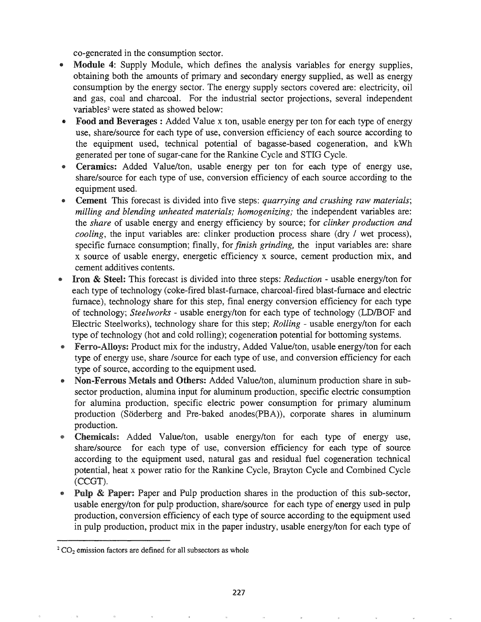co-generated in the consumption sector.

- Module 4: Supply Module, which defines the analysis variables for energy supplies, obtaining both the amounts of primary and secondary energy supplied, as well as energy consumption by the energy sector. The energy supply sectors covered are: electricity, oil and gas, coal and charcoal. For the industrial sector projections, several independent variables<sup>2</sup> were stated as showed below:
- Food and Beverages : Added Value x ton, usable energy per ton for each type of energy use, share/source for each type of use, conversion efficiency of each source according to the equipment used, technical potential of bagasse-based cogeneration, and kWh generated per tone of sugar-cane for the Rankine Cycle and STIG Cycle.
- Ceramics: Added Value/ton, usable energy per ton for each type of energy use, share/source for each type of use, conversion efficiency of each source according to the equipment used.
- .. Cement This forecast is divided into five steps: *quarrying and crushing raw materials; milling and blending unheated materials; homogenizing;* the independent variables are: the *share* of usable energy and energy efficiency by source; for *clinker production and cooling,* the input variables are: clinker production process share (dry / wet process), specific furnace consumption; finally, for *finish grinding,* the input variables are: share x source of usable energy, energetic efficiency x source, cement production mix, and cement additives contents.
- Iron & Steel: This forecast is divided into three steps: *Reduction* usable energy/ton for each type of technology (coke-fired blast-furnace, charcoal-fired blast-furnace and electric furnace), technology share for this step, final energy conversion efficiency for each type of technology; *Steelworks* - usable energy/ton for each type of technology (LDIBOF and Electric Steelworks), technology share for this step; *Rolling* - usable energy/ton for each type of technology (hot and cold rolling); cogeneration potential for bottoming systems.
- Ferro-Alloys: Product mix for the industry, Added Value/ton, usable energy/ton for each type of energy use, share /source for each type of use, and conversion efficiency for each type of source, according to the equipment used.
- Non-Ferrous Metals and Others: Added Value/ton, aluminum production share in subsector production, alumina input for aluminum production, specific electric consumption for alumina production, specific electric power consumption for primary aluminum production (Soderberg and Pre-baked anodes(PBA)), corporate shares in aluminum production.
- Chemicals: Added Value/ton, usable energy/ton for each type of energy use, share/source for each type of use, conversion efficiency for each type of source according to the equipment used, natural gas and residual fuel cogeneration technical potential, heat x power ratio for the Rankine Cycle, Brayton Cycle and Combined Cycle  $(CCGT).$
- **Pulp & Paper:** Paper and Pulp production shares in the production of this sub-sector, usable energy/ton for pulp production, share/source for each type of energy used in pulp production, conversion efficiency of each type of source according to the equipment used in pulp production, product mix in the paper industry, usable energy/ton for each type of

 $2^2$  CO<sub>2</sub> emission factors are defined for all subsectors as whole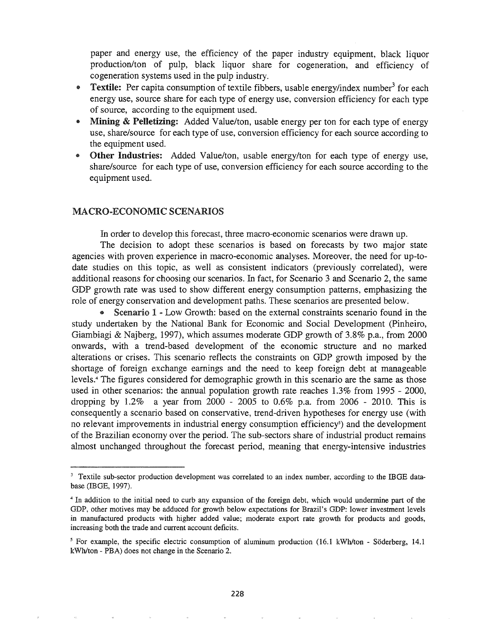paper and energy use, the efficiency of the paper industry equipment, black liquor production/ton of pulp, black liquor share for cogeneration, and efficiency of cogeneration systems used in the pulp industry.

- **Textile:** Per capita consumption of textile fibbers, usable energy/index number<sup>3</sup> for each energy use, source share for each type of energy use, conversion efficiency for each type of source, according to the equipment used.
- Mining & Pelletizing: Added Value/ton, usable energy per ton for each type of energy use, share/source for each type of use, conversion efficiency for each source according to the equipment used.
- Other Industries: Added Value/ton, usable energy/ton for each type of energy use, share/source for each type of use, conversion efficiency for each source according to the equipment used.

# MACRO-ECONOMIC SCENARIOS

In order to develop this forecast, three macro-economic scenarios were drawn up.

The decision to adopt these scenarios is based on forecasts by two major state agencies with proven experience in macro-economic analyses. Moreover, the need for up-todate studies on this topic, as well as consistent indicators (previously correlated), were additional reasons for choosing our scenarios. In fact, for Scenario 3 and Scenario 2, the same GDP growth rate was used to show different energy consumption patterns, emphasizing the role of energy conservation and development paths. These scenarios are presented below.

• Scenario 1 - Low Growth: based on the external constraints scenario found in the study undertaken by the National Bank for Economic and Social Development (Pinheiro, Giambiagi & Najberg, 1997), which assumes moderate GDP growth of 3.8% p.a., from 2000 onwards, with a trend-based development of the economic structure and no marked alterations or crises. This scenario reflects the constraints on GDP growth imposed by the shortage of foreign exchange earnings and the need to keep foreign debt at manageable levels.<sup>4</sup> The figures considered for demographic growth in this scenario are the same as those used in other scenarios: the annual population growth rate reaches 1.3% from 1995 - 2000, dropping by 1.2% a year from 2000 - 2005 to 0.6% p.a. from 2006 - 2010. This is consequently a scenario based on conservative, trend-driven hypotheses for energy use (with no relevant improvements in industrial energy consumption efficiency<sup> $\delta$ </sup>) and the development of the Brazilian economy over the period. The sub-sectors share of industrial product remains almost unchanged throughout the forecast period, meaning that energy-intensive industries

<sup>&</sup>lt;sup>3</sup> Textile sub-sector production development was correlated to an index number, according to the IBGE database (IBGE, 1997).

<sup>&</sup>lt;sup>4</sup> In addition to the initial need to curb any expansion of the foreign debt, which would undermine part of the GDP, other motives may be adduced for growth below expectations for Brazil's GDP: lower investment levels in manufactured products with higher added value; moderate export rate growth for products and goods, increasing both the trade and current account deficits.

<sup>&</sup>lt;sup>5</sup> For example, the specific electric consumption of aluminum production (16.1 kWh/ton - Söderberg, 14.1) kWh/ton - PBA) does not change in the Scenario 2.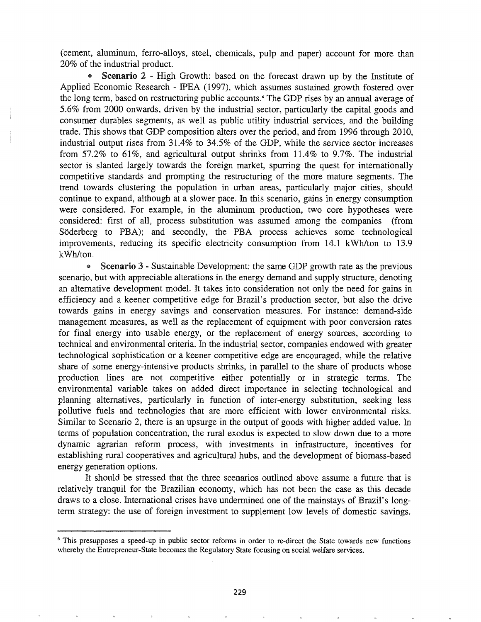(cement, aluminum, ferro-alloys, steel, chemicals, pulp and paper) account for more than 20% of the industrial product.

• Scenario 2 - High Growth: based on the forecast drawn up by the Institute of Applied Economic Research - IPEA (1997), which assumes sustained growth fostered over the long term, based on restructuring public accounts. <sup>6</sup> The GDP rises by an annual average of 5.6% from 2000 onwards, driven by the industrial sector, particularly the capital goods and consumer durables segments, as well as public utility industrial services, and the building trade. This shows that GDP composition alters over the period, and from 1996 through 2010, industrial output rises from 31.4% to 34.5% of the GDP, while the service sector increases from 57.2% to 61%, and agricultural output shrinks from 11.4% to 9.7%. The industrial sector is slanted largely towards the foreign market, spurring the quest for internationally competitive standards and prompting the restructuring of the more mature segments. The trend towards clustering the population in urban areas, particularly major cities, should continue to expand, although at a slower pace. In this scenario, gains in energy consumption were considered. For example, in the aluminum production, two core hypotheses were considered: first of all, process substitution was assumed among the companies (from Söderberg to PBA); and secondly, the PBA process achieves some technological improvements, reducing its specific electricity consumption from 14.1 kWh/ton to 13.9 kWh/ton.

• Scenario 3 - Sustainable Development: the same GDP growth rate as the previous scenario, but with appreciable alterations in the energy demand and supply structure, denoting an alternative development model. It takes into consideration not only the need for gains in efficiency and a keener competitive edge for Brazil's production sector, but also the drive towards gains in energy savings and conservation measures. For instance: demand-side management measures, as well as the replacement of equipment with poor conversion rates for final energy into usable energy, or the replacement of energy sources, according to technical and environmental criteria. In the industrial sector, companies endowed with greater technological sophistication or a keener competitive edge are encouraged, while the relative share of some energy-intensive products shrinks, in parallel to the share of products whose production lines are not competitive either potentially or in strategic terms. The environmental variable takes on added direct importance in selecting technological and planning alternatives, particularly in function of inter-energy substitution, seeking less pollutive fuels and technologies that are more efficient with lower environmental risks. Similar to Scenario 2, there is an upsurge in the output of goods with higher added value. In terms of population concentration, the rural exodus is expected to slow down due to a more dynamic agrarian reform process, with investments in infrastructure, incentives for establishing rural cooperatives and agricultural hubs, and the development of biomass-based energy generation options.

It should be stressed that the three scenarios outlined above assume a future that is relatively tranquil for the Brazilian economy, which has not been the case as this decade draws to a close. International crises have undermined one of the mainstays of Brazil's longterm strategy: the use of foreign investment to supplement low levels of domestic savings.

<sup>6</sup> This presupposes a speed-up in public sector reforms in order to re-direct the State towards new functions whereby the Entrepreneur-State becomes the Regulatory State focusing on social welfare services.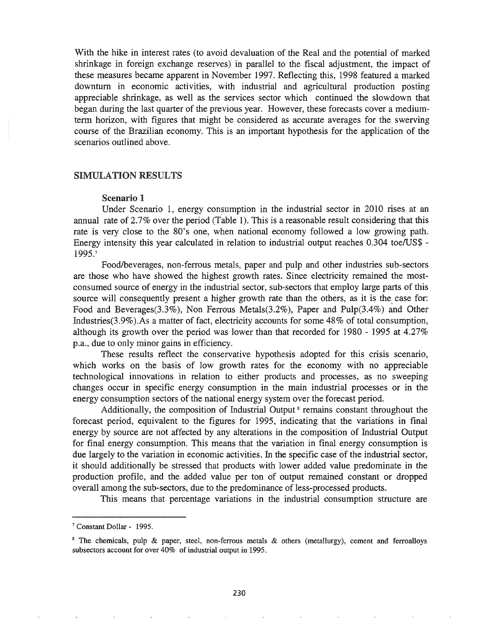With the hike in interest rates (to avoid devaluation of the Real and the potential of marked shrinkage in foreign exchange reserves) in parallel to the fiscal adjustment, the impact of these measures became apparent in November 1997. Reflecting this, 1998 featured a marked downturn in economic activities, with industrial and agricultural production posting appreciable shrinkage, as well as the services sector which continued the slowdown that began during the last quarter of the previous year. However, these forecasts cover a mediumterm horizon, with figures that might be considered as accurate averages for the swerving course of the Brazilian economy. This is an important hypothesis for the application of the scenarios outlined above.

#### SIMULATION RESULTS

#### Scenario 1

Under Scenario 1, energy consumption in the industrial sector in 2010 rises at an annual rate of 2.7% over the period (Table 1). This is a reasonable result considering that this rate is very close to the 80's one, when national economy followed a low growing path. Energy intensity this year calculated in relation to industrial output reaches 0.304 *toelUS\$ -* 1995.7

Foodlbeverages, non-ferrous metals, paper and pulp and other industries sub-sectors are those who have showed the highest growth rates. Since electricity remained the mostconsumed source of energy in the industrial sector, sub-sectors that employ large parts of this source will consequently present a higher growth rate than the others, as it is the case for: Food and Beverages(3.3%), Non Ferrous Metals(3.2%), Paper and Pulp(3.4%) and Other Industries(3.9%).As a matter of fact, electricity accounts for some 48% of total consumption, although its growth over the period was lower than that recorded for 1980 - 1995 at 4.27% p.a., due to only minor gains in efficiency.

These results reflect the conservative hypothesis adopted for this crisis scenario, which works on the basis of low growth rates for the economy with no appreciable technological innovations in relation to either products and processes, as no sweeping changes occur in specific energy consumption in the main industrial processes or in the energy consumption sectors of the national energy system over the forecast period.

Additionally, the composition of Industrial Output<sup>8</sup> remains constant throughout the forecast period, equivalent to the figures for 1995, indicating that the variations in final energy by source are not affected by any alterations in the composition of Industrial Output for final energy consumption. This means that the variation in final energy consumption is due largely to the variation in economic activities. In the specific case of the industrial sector, it should additionally be stressed that products with lower added value predominate in the production profile, and the added value per ton of output remained constant or dropped overall among the sub-sectors, due to the predominance of less-processed products.

This means that percentage variations in the industrial consumption structure are

<sup>&</sup>lt;sup>7</sup> Constant Dollar - 1995.

<sup>&</sup>lt;sup>8</sup> The chemicals, pulp  $\&$  paper, steel, non-ferrous metals  $\&$  others (metallurgy), cement and ferroalloys subsectors account for over 40% of industrial output in 1995.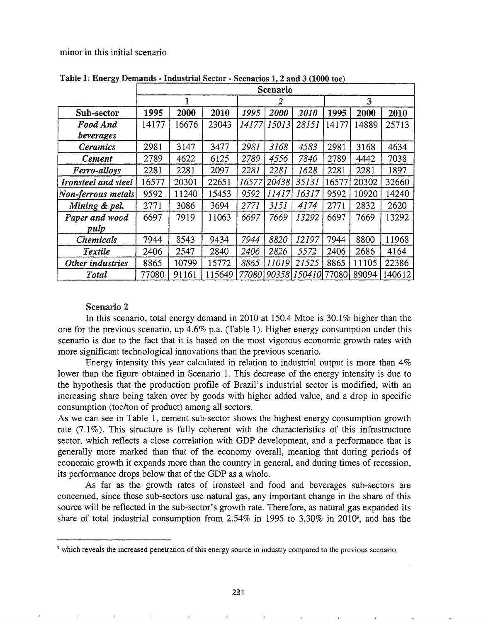minor in this initial scenario

|                     | Scenario |       |        |        |       |              |       |       |        |
|---------------------|----------|-------|--------|--------|-------|--------------|-------|-------|--------|
|                     |          |       |        | 2      |       |              | 3     |       |        |
| Sub-sector          | 1995     | 2000  | 2010   | 1995   | 2000  | 2010         | 1995  | 2000  | 2010   |
| Food And            | 14177    | 16676 | 23043  | 14177  | 15013 | 28151        | 14177 | 14889 | 25713  |
| beverages           |          |       |        |        |       |              |       |       |        |
| <i>Ceramics</i>     | 2981     | 3147  | 3477   | 2981   | 3168  | 4583         | 2981  | 3168  | 4634   |
| <b>Cement</b>       | 2789     | 4622  | 6125   | 2789   | 4556  | 7840         | 2789  | 4442  | 7038   |
| Ferro-alloys        | 2281     | 2281  | 2097   | 2281   | 2281  | 1628         | 2281  | 2281  | 1897   |
| Ironsteel and steel | 16577    | 20301 | 22651  | 16577  | 20438 | 35131        | 16577 | 20302 | 32660  |
| Non-ferrous metals  | 9592     | 11240 | 15453  | 9592   | 11417 | 16317        | 9592  | 10920 | 14240  |
| Mining & pel.       | 2771     | 3086  | 3694   | 2771   | 3151  | 4174         | 2771  | 2832  | 2620   |
| Paper and wood      | 6697     | 7919  | 11063  | 6697   | 7669  | 13292        | 6697  | 7669  | 13292  |
| pulp                |          |       |        |        |       |              |       |       |        |
| <b>Chemicals</b>    | 7944     | 8543  | 9434   | 7944   | 8820  | 12197        | 7944  | 8800  | 11968  |
| Textile             | 2406     | 2547  | 2840   | 2406   | 2826  | 5572         | 2406  | 2686  | 4164   |
| Other industries    | 8865     | 10799 | 15772  | 8865   | 11019 | 21525        | 8865  | 11105 | 22386  |
| Total               | 77080    | 91161 | 115649 | 770801 |       | 90358 150410 | 77080 | 89094 | 140612 |

Table 1: Energy Demands - Industrial Sector - Scenarios 1, 2 and 3 (1000 toe)

## Scenario 2

In this scenario, total energy demand in 2010 at 150.4 Mtoe is  $30.1\%$  higher than the one for the previous scenario, up 4.6% p.a. (Table 1). Higher energy consumption under this scenario is due to the fact that it is based on the most vigorous economic growth rates with more significant technological innovations than the previous scenario.

Energy intensity this year calculated in relation to industrial output is more than 4% lower than the figure obtained in Scenario 1. This decrease of the energy intensity is due to the hypothesis that the production profile of Brazil's industrial sector is modified, with an increasing share being taken over by goods with higher added value, and a drop in specific consumption (toe/ton of product) among all sectors.

As we can see in Table 1, cement sub-sector shows the highest energy consumption growth rate  $(7.1\%)$ . This structure is fully coherent with the characteristics of this infrastructure sector, which reflects a close correlation with GDP development, and a performance that is generally more marked than that of the economy overall, meaning that during periods of economic growth it expands more than the country in general, and during times of recession, its performance drops below that of the GDP as a whole.

As far as the growth rates of ironsteel and food and beverages sub-sectors are concerned, since these sub-sectors use natural gas, any important change in the share of this source will be reflected in the sub-sector's growth rate. Therefore, as natural gas expanded its share of total industrial consumption from 2.54% in 1995 to 3.30% in 2010<sup>9</sup>, and has the

<sup>9</sup> which reveals the increased penetration of this energy source in industry compared to the previous scenario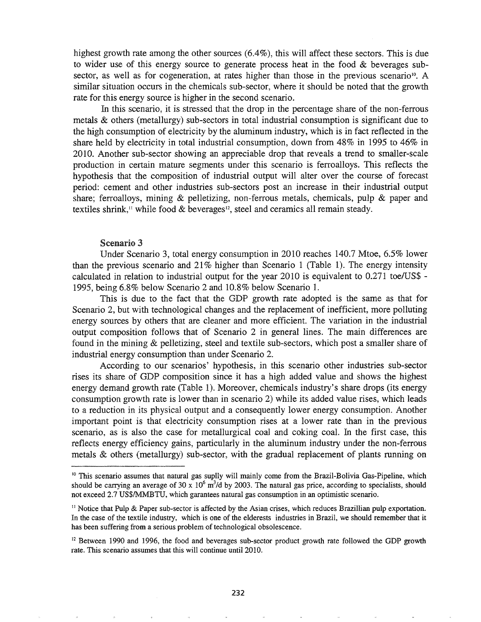highest growth rate among the other sources (6.4%), this will affect these sectors. This is due to wider use of this energy source to generate process heat in the food  $\&$  beverages subsector, as well as for cogeneration, at rates higher than those in the previous scenario<sup>10</sup>. A similar situation occurs in the chemicals sub-sector, where it should be noted that the growth rate for this energy source is higher in the second scenario.

In this scenario, it is stressed that the drop in the percentage share of the non-ferrous metals & others (metallurgy) sub-sectors in total industrial consumption is significant due to the high consumption of electricity by the aluminum industry, which is in fact reflected in the share held by electricity in total industrial consumption, down from 48% in 1995 to 46% in 2010. Another sub-sector showing an appreciable drop that reveals a trend to smaller-scale production in certain mature segments under this scenario is ferroalloys. This reflects the hypothesis that the composition of industrial output will alter over the course of forecast period: cement and other industries sub-sectors post an increase in their industrial output share; ferroalloys, mining  $\&$  pelletizing, non-ferrous metals, chemicals, pulp  $\&$  paper and textiles shrink,<sup>11</sup> while food  $\&$  beverages<sup>12</sup>, steel and ceramics all remain steady.

#### Scenario 3

Under Scenario 3, total energy consumption in 2010 reaches 140.7 Mtoe, 6.5% lower than the previous scenario and  $21\%$  higher than Scenario 1 (Table 1). The energy intensity calculated in relation to industrial output for the year 2010 is equivalent to 0.271 *toelUS\$ -* 1995, being 6.8% below Scenario 2 and 10.8% below Scenario 1.

This is due to the fact that the GDP growth rate adopted is the same as that for Scenario 2, but with technological changes and the replacement of inefficient, more polluting energy sources by others that are cleaner and more efficient. The variation in the industrial output composition follows that of Scenario 2 in general lines. The main differences are found in the mining & pelletizing, steel and textile sub-sectors, which post a smaller share of industrial energy consumption than under Scenario 2.

According to our scenarios' hypothesis, in this scenario other industries sub-sector rises its share of GDP composition since it has a high added value and shows the highest energy demand growth rate (Table 1). Moreover, chemicals industry's share drops (its energy consumption growth rate is lower than in scenario 2) while its added value rises, which leads to a reduction in its physical output and a consequently lower energy consumption. Another important point is that electricity consumption rises at a lower rate than in the previous scenario, as is also the case for metallurgical coal and coking coal. In the first case, this reflects energy efficiency gains, particularly in the aluminum industry under the non-ferrous metals  $\&$  others (metallurgy) sub-sector, with the gradual replacement of plants running on

<sup>&</sup>lt;sup>10</sup> This scenario assumes that natural gas suplly will mainly come from the Brazil-Bolivia Gas-Pipeline, which should be carrying an average of 30 x  $10^6$  m<sup>3</sup>/d by 2003. The natural gas price, according to specialists, should not exceed 2.7 US\$IMMBTU, which garantees natural gas consumption in an optimistic scenario.

 $<sup>11</sup>$  Notice that Pulp & Paper sub-sector is affected by the Asian crises, which reduces Brazillian pulp exportation.</sup> In the case of the textile industry, which is one of the elderests industries in Brazil, we should remember that it has been suffering from a serious problem of technological obsolescence.

<sup>&</sup>lt;sup>12</sup> Between 1990 and 1996, the food and beverages sub-sector product growth rate followed the GDP growth rate. This scenario assumes that this will continue until 2010.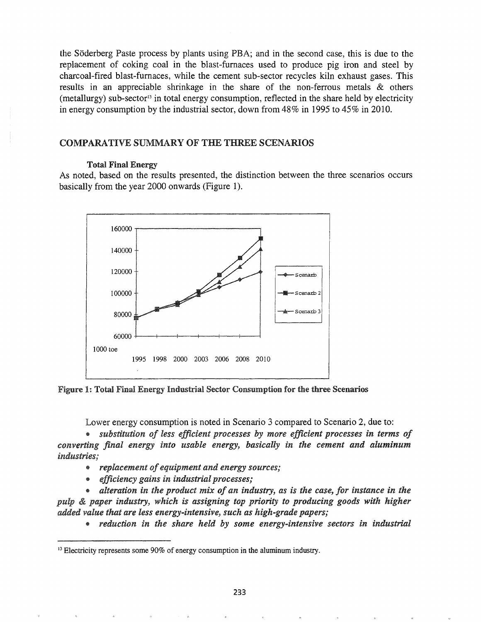the Soderberg Paste process by plants using PBA; and in the second case, this is due to the replacement of coking coal in the blast-furnaces used to produce pig iron and steel by charcoal-fired blast-furnaces, while the cement sub-sector recycles kiln exhaust gases. This results in an appreciable shrinkage in the share of the non-ferrous metals & others (metallurgy) sub-sector<sup>13</sup> in total energy consumption, reflected in the share held by electricity in energy consumption by the industrial sector, down from 48% in 1995 to 45% in 2010.

# COMPARATIVE SUMMARY OF THE THREE SCENARIOS

## Total Final Energy

As noted, based on the results presented, the distinction between the three scenarios occurs basically from the year 2000 onwards (Figure 1).



Figure 1: Total Final Energy Industrial Sector Consumption for the three Scenarios

Lower energy consumption is noted in Scenario 3 compared to Scenario 2, due to:

4) *substitution of less efficient processes* by *more efficient processes in terms of converting final energy into usable energy, basically in the cement and aluminum industries;*

- <sup>o</sup> *replacement ofequipment and energy sources;*
- 4) *efficiency gains in industrial processes;*

@ *alteration in the product mix of an industry, as is the case, for instance in the paper in try, which is assigning top priority to producing goods with higher added value that are less energy..intensive, such as high-grade papers;*

@ *reduction in the share held by some energy-intensive sectors in industrial*

<sup>&</sup>lt;sup>13</sup> Electricity represents some 90% of energy consumption in the aluminum industry.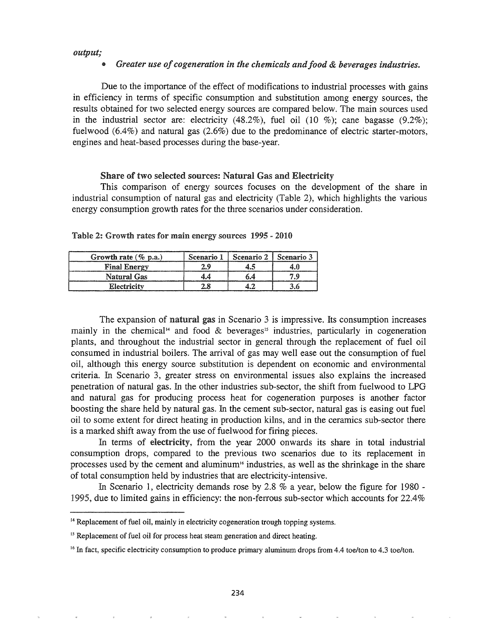#### *output;*

### *Greater use* of *cogeneration* in the *chemicals* and food & *beverages industries.*

Due to the importance of the effect of modifications to industrial processes with gains in efficiency in terms of specific consumption and substitution among energy sources, the results obtained for two selected energy sources are compared below. The main sources used in the industrial sector are: electricity  $(48.2\%)$ , fuel oil  $(10 \%)$ ; cane bagasse  $(9.2\%)$ ; fuelwood (6.4%) and natural gas (2.6%) due to the predominance of electric starter-motors, engines and heat-based processes during the base-year.

#### Share of two selected sources: Natural Gas and Electricity

This comparison of energy sources focuses on the development of the share in industrial consumption of natural gas and electricity (Table 2), which highlights the various energy consumption growth rates for the three scenarios under consideration.

| Growth rate $(\%$ p.a.) | Scenario 1 | Scenario 2 | Scenario 3 |
|-------------------------|------------|------------|------------|
| <b>Final Energy</b>     |            |            |            |
| <b>Natural Gas</b>      |            |            |            |
| Electricity             |            |            |            |

| Table 2: Growth rates for main energy sources 1995 - 2010 |  |  |  |  |  |  |  |  |  |
|-----------------------------------------------------------|--|--|--|--|--|--|--|--|--|
|-----------------------------------------------------------|--|--|--|--|--|--|--|--|--|

The expansion of natural gas in Scenario 3 is impressive. Its consumption increases mainly in the chemical<sup>14</sup> and food  $\&$  beverages<sup>15</sup> industries, particularly in cogeneration plants, and throughout the industrial sector in general through the replacement of fuel oil consumed in industrial boilers. The arrival of gas may well ease out the consumption of fuel oil, although this energy source substitution is dependent on economic and environmental criteria. In Scenario 3, greater stress on environmental issues also explains the increased penetration of natural gas. In the other industries sub-sector, the shift from fuelwood to LPG and natural gas for producing process heat for cogeneration purposes is another factor boosting the share held by natural gas. In the cement sub-sector, natural gas is easing out fuel oil to some extent for direct heating in production kilns, and in the ceramics sub-sector there is a marked shift away from the use of fuelwood for firing pieces.

In terms of electricity, from the year 2000 onwards its share in total industrial consumption drops, compared to the previous two scenarios due to its replacement in processes used by the cement and aluminum<sup>16</sup> industries, as well as the shrinkage in the share of total consumption held by industries that are electricity-intensive.

In Scenario 1, electricity demands rose by 2.8 % a year, below the figure for 1980 -1995, due to limited gains in efficiency: the non-ferrous sub-sector which accounts for  $22.4\%$ 

<sup>&</sup>lt;sup>14</sup> Replacement of fuel oil, mainly in electricity cogeneration trough topping systems.

<sup>&</sup>lt;sup>15</sup> Replacement of fuel oil for process heat steam generation and direct heating.

<sup>&</sup>lt;sup>16</sup> In fact, specific electricity consumption to produce primary aluminum drops from 4.4 toe/ton to 4.3 toe/ton.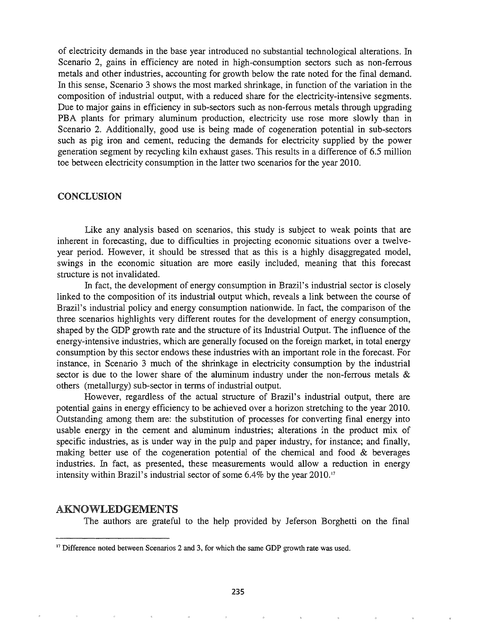of electricity demands in the base year introduced no substantial technological alterations. In Scenario 2, gains in efficiency are noted in high-consumption sectors such as non-ferrous metals and other industries, accounting for growth below the rate noted for the final demand. In this sense, Scenario 3 shows the most marked shrinkage, in function of the variation in the composition of industrial output, with a reduced share for the electricity-intensive segments. Due to major gains in efficiency in sub-sectors such as non-ferrous metals through upgrading PBA plants for primary aluminum production, electricity use rose more slowly than in Scenario 2. Additionally, good use is being made of cogeneration potential in sub-sectors such as pig iron and cement, reducing the demands for electricity supplied by the power generation segment by recycling kiln exhaust gases. This results in a difference of 6.5 million toe between electricity consumption in the latter two scenarios for the year 2010.

#### CONCLUSION

Like any analysis based on scenarios, this study is subject to weak points that are inherent in forecasting, due to difficulties in projecting economic situations over a twelveyear period. However, it should be stressed that as this is a highly disaggregated model, swings in the economic situation are more easily included, meaning that this forecast structure is not invalidated.

In fact, the development of energy consumption in Brazil's industrial sector is closely linked to the composition of its industrial output which, reveals a link between the course of Brazil's industrial policy and energy consumption nationwide. In fact, the comparison of the three scenarios highlights very different routes for the development of energy consumption, shaped by the GDP growth rate and the structure of its Industrial Output. The influence of the energy-intensive industries, which are generally focused on the foreign market, in total energy consumption by this sector endows these industries with an important role in the forecast. For instance, in Scenario 3 much of the shrinkage in electricity consumption by the industrial sector is due to the lower share of the aluminum industry under the non-ferrous metals  $\&$ others (metallurgy) sub-sector in terms of industrial output.

However, regardless of the actual structure of Brazil's industrial output, there are potential gains in energy efficiency to be achieved over a horizon stretching to the year 2010. Outstanding among them are: the substitution of processes for converting final energy into usable energy in the cement and aluminum industries; alterations in the product mix of specific industries, as is under way in the pulp and paper industry, for instance; and finally, making better use of the cogeneration potential of the chemical and food & beverages industries. In fact, as presented, these measurements would allow a reduction in energy intensity within Brazil's industrial sector of some 6.4% by the year 2010.<sup>17</sup>

### AKNOWLEDGEMENTS

The authors are grateful to the help provided by Jeferson Borghetti on the final

<sup>&</sup>lt;sup>17</sup> Difference noted between Scenarios 2 and 3, for which the same GDP growth rate was used.